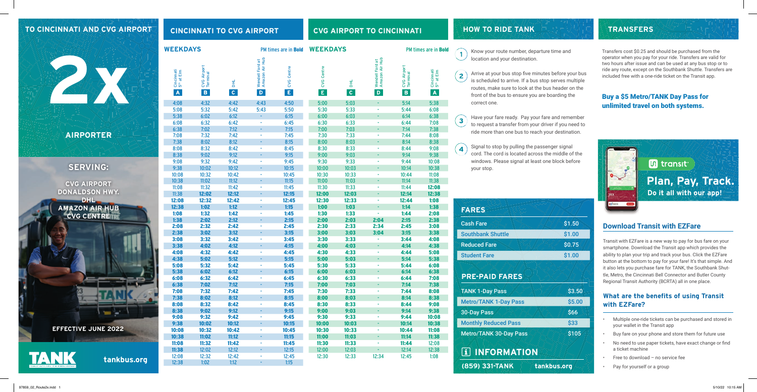#### **TO CINCINNATI AND CVG AIRPORT**

**tankbus.org**

**WEEKDAYS WEEKDAYS**

### **CINCINNATI TO CVG AIRPORT CVG AIRPORT TO CINCINNATI**



 $\overline{4}$ your stop.

Arrive at your bus stop five minutes before your bus is scheduled to arrive. If a bus stop serves multiple routes, make sure to look at the bus header on the front of the bus to ensure you are boarding the correct one.

Have your fare ready. Pay your fare and remember  $\left( \begin{matrix} 3 \end{matrix} \right)$ to request a transfer from your driver if you need to ride more than one bus to reach your destination.

Signal to stop by pulling the passenger signal cord. The cord is located across the middle of the windows. Please signal at least one block before

**HOW TO RIDE TANK**

### **Download Transit with EZFare**

TANK 1-Day Pass Metro/TANK 1-Day Pass 30-Day Pass Monthly Reduced Pass Metro/TANK 30-Day Pass Transit with EZFare is a new way to pay for bus fare on your smartphone. Download the Transit app which provides the ability to plan your trip and track your bus. Click the EZFare button at the bottom to pay for your fare! It's that simple. And it also lets you purchase fare for TANK, the Southbank Shuttle, Metro, the Cincinnati Bell Connector and Butler County Regional Transit Authority (BCRTA) all in one place.

#### **What are the benefits of using Transit with EZFare?**

- Multiple one-ride tickets can be purchased and stored in your wallet in the Transit app
- Buy fare on your phone and store them for future use
- No need to use paper tickets, have exact change or find a ticket machine
- Free to download no service fee
- Pay for yourself or a group

 $\overline{2}$ 



**TRANSFERS**

## **PRE-PAID FARES**

 **INFORMATION**

| <b>FARES</b>             |
|--------------------------|
| <b>Cash Fare</b>         |
| <b>Southbank Shuttle</b> |
| <b>Reduced Fare</b>      |
| <b>Student Fare</b>      |
|                          |



|                            |                                                      | <b>WEEKDAYS</b>                      |                     |                                                   | PM times are in <b>Bold</b><br><b>WEEKDAYS</b> |                            |                   | PM times are in <b>B</b>                         |                                         |                                                        |
|----------------------------|------------------------------------------------------|--------------------------------------|---------------------|---------------------------------------------------|------------------------------------------------|----------------------------|-------------------|--------------------------------------------------|-----------------------------------------|--------------------------------------------------------|
| NA                         | Cincinnati<br>5 <sup>th</sup> at Elm<br>$\mathbf{A}$ | CVG Airport<br>Terminal<br>$\vert$ B | 뢰<br>$\overline{c}$ | Wendell Ford at<br>Amazon Air Hub<br>$\mathbf{D}$ | CVG Centre<br>$\vert \mathsf{E} \vert$         | CVG Centre<br>$\mathsf{E}$ | 뢰<br>$\mathbf{C}$ | Wendell Ford at<br>Amazon Air Hub<br>$\mathbf D$ | CVG Airport<br>Terminal<br>$\mathbf{B}$ | Cincinnati<br>5 <sup>th</sup> at Elm<br>$\overline{A}$ |
|                            | 4:08                                                 | 4:32                                 | 4:42                | 4:43                                              | 4:50                                           | 5:00                       | 5:03              | $\sim$                                           | 5:14                                    | 5:38                                                   |
|                            | 5:08                                                 | 5:32                                 | 5:42                | 5:43                                              | 5:50                                           | 5:30                       | 5:33              |                                                  | 5:44                                    | 6:08                                                   |
|                            | 5:38                                                 | 6:02                                 | 6:12                | $\omega$ .                                        | 6:15                                           | 6:00                       | 6:03              |                                                  | 6:14                                    | 6:38                                                   |
|                            | 6:08                                                 | 6:32                                 | 6:42                | $\sim$                                            | 6:45                                           | 6:30                       | 6:33              | ÷                                                | 6:44                                    | 7:08                                                   |
|                            | 6:38                                                 | 7:02                                 | 7:12                |                                                   | 7:15                                           | 7:00                       | 7:03              |                                                  | 7:14                                    | 7:38                                                   |
| <b>AIRPORTER</b>           | 7:08                                                 | 7:32                                 | 7:42                | ×                                                 | 7:45                                           | 7:30                       | 7:33              | ÷                                                | 7:44                                    | 8:08                                                   |
|                            | 7:38                                                 | 8:02                                 | 8:12                |                                                   | 8:15                                           | 8:00                       | 8:03              | ÷                                                | 8:14                                    | 8:38                                                   |
|                            | 8:08                                                 | 8:32                                 | 8:42                | $\mathbf{r}$                                      | 8:45                                           | 8:30                       | 8:33              | $\sim$                                           | 8:44                                    | 9:08                                                   |
|                            | 8:38                                                 | 9:02                                 | 9:12                |                                                   | 9:15                                           | 9:00                       | 9:03              |                                                  | 9:14                                    | 9:38                                                   |
|                            | 9:08                                                 | 9:32                                 | 9:42                | $\sim$                                            | 9:45                                           | 9:30                       | 9:33              | ÷,                                               | 9:44                                    | 10:08                                                  |
| <b>SERVING:</b>            | 9:38                                                 | 10:02                                | 10:12               |                                                   | 10:15                                          | 10:00                      | 10:03             |                                                  | 10:14                                   | 10:38                                                  |
|                            | 10:08                                                | 10:32                                | 10:42               | $\blacksquare$                                    | 10:45                                          | 10:30                      | 10:33             | ٠                                                | 10:44                                   | 11:08                                                  |
| <b>CVG AIRPORT</b>         | 10:38                                                | 11:02                                | 11:12               |                                                   | 11:15                                          | 11:00                      | 11:03             | ×.                                               | 11:14                                   | 11:38                                                  |
| <b>DONALDSON HWY.</b>      | 11:08                                                | 11:32                                | 11:42               | $\sim$                                            | 11:45                                          | 11:30                      | 11:33             | ÷,                                               | 11:44                                   | 12:08                                                  |
|                            | 11:38                                                | 12:02                                | 12:12               |                                                   | 12:15                                          | 12:00                      | 12:03             |                                                  | 12:14                                   | 12:38                                                  |
| <b>DHL</b>                 | 12:08                                                | 12:32                                | 12:42               | ×                                                 | 12:45                                          | 12:30                      | 12:33             | ÷.                                               | 12:44                                   | 1:08                                                   |
| <b>AMAZON AIR HUB</b>      | 12:38                                                | 1:02                                 | 1:12                |                                                   | 1:15                                           | 1:00                       | 1:03              |                                                  | 1:14                                    | 1:38                                                   |
| <b>CVG CENTRETT</b>        | 1:08                                                 | 1:32                                 | 1:42                | $\overline{\phantom{a}}$                          | 1:45                                           | 1:30                       | 1:33              | ÷.                                               | 1:44                                    | 2:08                                                   |
|                            | 1:38                                                 | 2:02                                 | 2:12                | ÷                                                 | 2:15                                           | 2:00                       | 2:03              | 2:04                                             | 2:15                                    | 2:38                                                   |
|                            | 2:08                                                 | 2:32                                 | 2:42                | $\sim$                                            | 2:45                                           | 2:30                       | 2:33              | 2:34                                             | 2:45                                    | 3:08                                                   |
|                            | 2:38                                                 | 3:02                                 | 3:12                |                                                   | 3:15                                           | 3:00                       | 3:03              | 3:04                                             | 3:15                                    | 3:38                                                   |
|                            | 3:08                                                 | 3:32                                 | 3:42                | ٠                                                 | 3:45                                           | 3:30                       | 3:33              | $\omega$                                         | 3:44                                    | 4:08                                                   |
|                            | 3:38                                                 | 4:02                                 | 4:12                |                                                   | 4:15                                           | 4:00                       | 4:03              |                                                  | 4:14                                    | 4:38                                                   |
|                            | 4:08                                                 | 4:32                                 | 4:42                | $\sim$                                            | 4:45                                           | 4:30                       | 4:33              | ÷.                                               | 4:44                                    | 5:08                                                   |
|                            | 4:38                                                 | 5:02                                 | 5:12                | $\sim$                                            | 5:15                                           | 5:00                       | 5:03              | ٠<br>÷,                                          | 5:14                                    | 5:38                                                   |
|                            | 5:08                                                 | 5:32                                 | 5:42<br>6:12        |                                                   | 5:45                                           | 5:30                       | 5:33<br>6:03      |                                                  | 5:44                                    | 6:08                                                   |
|                            | 5:38                                                 | 6:02                                 |                     | ×                                                 | 6:15                                           | 6:00                       | 6:33              | ٠                                                | 6:14                                    | 6:38<br>7:08                                           |
|                            | 6:08<br>6:38                                         | 6:32<br>7:02                         | 6:42<br>7:12        |                                                   | 6:45<br>7:15                                   | 6:30                       | 7:03              |                                                  | 6:44<br>7:14                            | 7:38                                                   |
|                            | 7:08                                                 | 7:32                                 | 7:42                | $\overline{\phantom{a}}$                          | 7:45                                           | 7:00<br>7:30               | 7:33              | ÷.                                               | 7:44                                    | 8:08                                                   |
|                            | 7:38                                                 | 8:02                                 | 8:12                |                                                   | 8:15                                           | 8:00                       | 8:03              | ÷                                                | 8:14                                    | 8:38                                                   |
|                            | 8:08                                                 | 8:32                                 | 8:42                | $\sim$                                            | 8:45                                           | 8:30                       | 8:33              | ٠                                                | 8:44                                    | 9:08                                                   |
|                            | 8:38                                                 | 9:02                                 | 9:12                |                                                   | 9:15                                           | 9:00                       | 9:03              |                                                  | 9:14                                    | 9:38                                                   |
|                            | 9:08                                                 | 9:32                                 | 9:42                | $\sim$                                            | 9:45                                           | 9:30                       | 9:33              | ×.                                               | 9:44                                    | 10:08                                                  |
|                            | 9:38                                                 | 10:02                                | 10:12               |                                                   | 10:15                                          | 10:00                      | 10:03             |                                                  | 10:14                                   | 10:38                                                  |
| <b>EFFECTIVE JUNE 2022</b> | 10:08                                                | 10:32                                | 10:42               | $\sim$                                            | 10:45                                          | 10:30                      | 10:33             | ×.                                               | 10:44                                   | 11:08                                                  |
|                            | 10:38                                                | 11:02                                | 11:12               |                                                   | 11:15                                          | 11:00                      | 11:03             |                                                  | 11:14                                   | 11:38                                                  |
|                            |                                                      |                                      |                     |                                                   |                                                |                            |                   |                                                  |                                         |                                                        |



11:08 11:32 11:42 - 11:45 **11:38** 12:02 12:12 - 12:15 12:08 12:32 12:42 - 12:45 12:38 1:02 1:12 - 1:15

11:00 11:03 - 11:14 11:38 11:30 11:33 - 11:44 12:08 12:00 12:03 - 12:14 12:38 12:30 12:33 12:34 12:45 1:08

Transfers cost \$0.25 and should be purchased from the operator when you pay for your ride. Transfers are valid for two hours after issue and can be used at any bus stop or to ride any route, except on the Southbank Shuttle. Transfers are included free with a one-ride ticket on the Transit app.

#### Buy a \$5 Metro/TANK Day Pass for unlimited travel on both systems.

PM times are in **Bold**  $\begin{pmatrix} 1 \end{pmatrix}$  Know your route number, departure time and